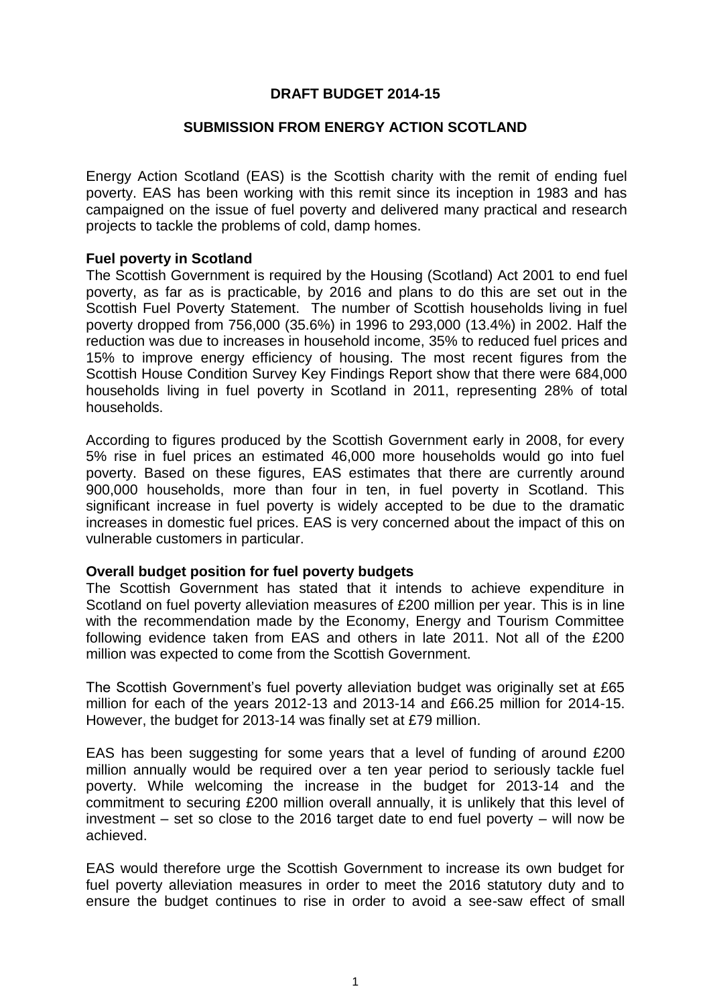## **DRAFT BUDGET 2014-15**

## **SUBMISSION FROM ENERGY ACTION SCOTLAND**

Energy Action Scotland (EAS) is the Scottish charity with the remit of ending fuel poverty. EAS has been working with this remit since its inception in 1983 and has campaigned on the issue of fuel poverty and delivered many practical and research projects to tackle the problems of cold, damp homes.

## **Fuel poverty in Scotland**

The Scottish Government is required by the Housing (Scotland) Act 2001 to end fuel poverty, as far as is practicable, by 2016 and plans to do this are set out in the Scottish Fuel Poverty Statement. The number of Scottish households living in fuel poverty dropped from 756,000 (35.6%) in 1996 to 293,000 (13.4%) in 2002. Half the reduction was due to increases in household income, 35% to reduced fuel prices and 15% to improve energy efficiency of housing. The most recent figures from the Scottish House Condition Survey Key Findings Report show that there were 684,000 households living in fuel poverty in Scotland in 2011, representing 28% of total households.

According to figures produced by the Scottish Government early in 2008, for every 5% rise in fuel prices an estimated 46,000 more households would go into fuel poverty. Based on these figures, EAS estimates that there are currently around 900,000 households, more than four in ten, in fuel poverty in Scotland. This significant increase in fuel poverty is widely accepted to be due to the dramatic increases in domestic fuel prices. EAS is very concerned about the impact of this on vulnerable customers in particular.

### **Overall budget position for fuel poverty budgets**

The Scottish Government has stated that it intends to achieve expenditure in Scotland on fuel poverty alleviation measures of £200 million per year. This is in line with the recommendation made by the Economy, Energy and Tourism Committee following evidence taken from EAS and others in late 2011. Not all of the £200 million was expected to come from the Scottish Government.

The Scottish Government's fuel poverty alleviation budget was originally set at £65 million for each of the years 2012-13 and 2013-14 and £66.25 million for 2014-15. However, the budget for 2013-14 was finally set at £79 million.

EAS has been suggesting for some years that a level of funding of around £200 million annually would be required over a ten year period to seriously tackle fuel poverty. While welcoming the increase in the budget for 2013-14 and the commitment to securing £200 million overall annually, it is unlikely that this level of investment – set so close to the 2016 target date to end fuel poverty – will now be achieved.

EAS would therefore urge the Scottish Government to increase its own budget for fuel poverty alleviation measures in order to meet the 2016 statutory duty and to ensure the budget continues to rise in order to avoid a see-saw effect of small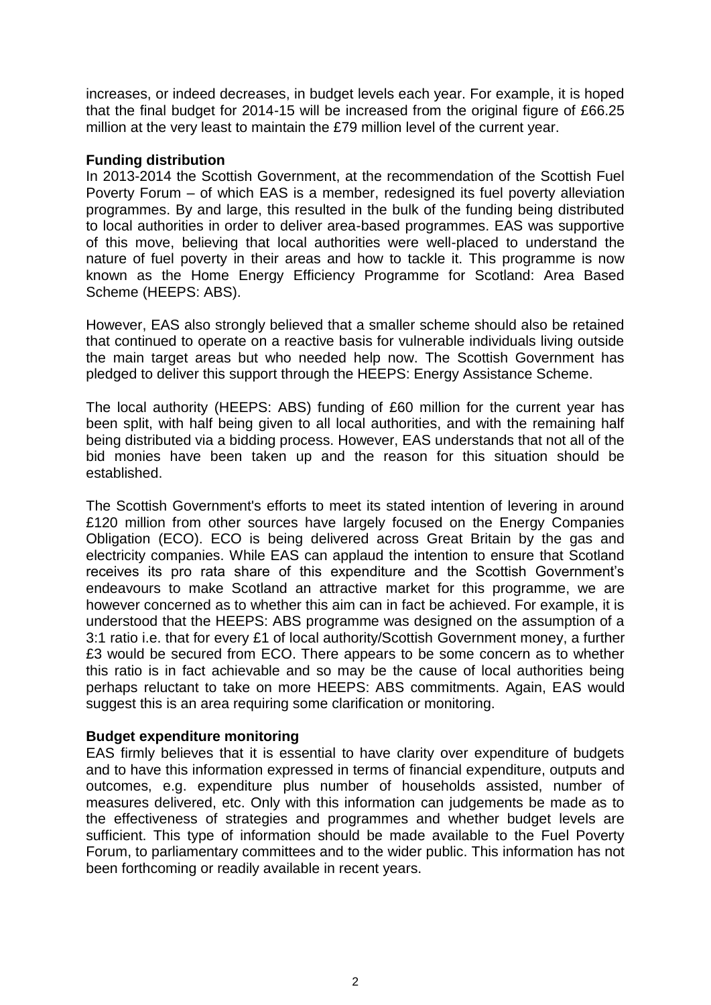increases, or indeed decreases, in budget levels each year. For example, it is hoped that the final budget for 2014-15 will be increased from the original figure of £66.25 million at the very least to maintain the £79 million level of the current year.

# **Funding distribution**

In 2013-2014 the Scottish Government, at the recommendation of the Scottish Fuel Poverty Forum – of which EAS is a member, redesigned its fuel poverty alleviation programmes. By and large, this resulted in the bulk of the funding being distributed to local authorities in order to deliver area-based programmes. EAS was supportive of this move, believing that local authorities were well-placed to understand the nature of fuel poverty in their areas and how to tackle it. This programme is now known as the Home Energy Efficiency Programme for Scotland: Area Based Scheme (HEEPS: ABS).

However, EAS also strongly believed that a smaller scheme should also be retained that continued to operate on a reactive basis for vulnerable individuals living outside the main target areas but who needed help now. The Scottish Government has pledged to deliver this support through the HEEPS: Energy Assistance Scheme.

The local authority (HEEPS: ABS) funding of £60 million for the current year has been split, with half being given to all local authorities, and with the remaining half being distributed via a bidding process. However, EAS understands that not all of the bid monies have been taken up and the reason for this situation should be established.

The Scottish Government's efforts to meet its stated intention of levering in around £120 million from other sources have largely focused on the Energy Companies Obligation (ECO). ECO is being delivered across Great Britain by the gas and electricity companies. While EAS can applaud the intention to ensure that Scotland receives its pro rata share of this expenditure and the Scottish Government's endeavours to make Scotland an attractive market for this programme, we are however concerned as to whether this aim can in fact be achieved. For example, it is understood that the HEEPS: ABS programme was designed on the assumption of a 3:1 ratio i.e. that for every £1 of local authority/Scottish Government money, a further £3 would be secured from ECO. There appears to be some concern as to whether this ratio is in fact achievable and so may be the cause of local authorities being perhaps reluctant to take on more HEEPS: ABS commitments. Again, EAS would suggest this is an area requiring some clarification or monitoring.

### **Budget expenditure monitoring**

EAS firmly believes that it is essential to have clarity over expenditure of budgets and to have this information expressed in terms of financial expenditure, outputs and outcomes, e.g. expenditure plus number of households assisted, number of measures delivered, etc. Only with this information can judgements be made as to the effectiveness of strategies and programmes and whether budget levels are sufficient. This type of information should be made available to the Fuel Poverty Forum, to parliamentary committees and to the wider public. This information has not been forthcoming or readily available in recent years.